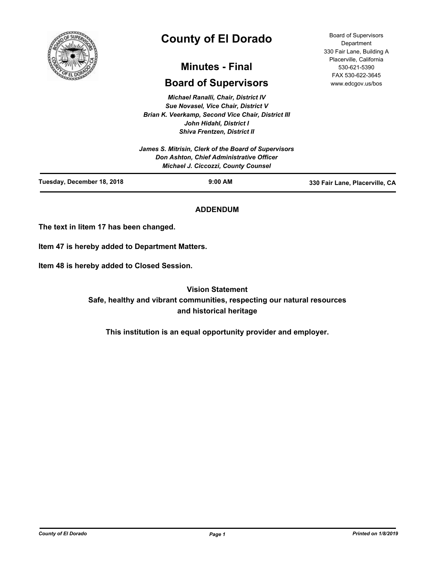

# **County of El Dorado**

# **Minutes - Final**

# **Board of Supervisors**

*Michael Ranalli, Chair, District IV Sue Novasel, Vice Chair, District V Brian K. Veerkamp, Second Vice Chair, District III John Hidahl, District I Shiva Frentzen, District II*

| Tuesday, December 18, 2018 | $9:00$ AM                                                                              | 330 Fair Lane, Placerville, CA |
|----------------------------|----------------------------------------------------------------------------------------|--------------------------------|
|                            | Don Ashton, Chief Administrative Officer<br><b>Michael J. Ciccozzi, County Counsel</b> |                                |
|                            | James S. Mitrisin, Clerk of the Board of Supervisors                                   |                                |

# **ADDENDUM**

**The text in Iitem 17 has been changed.**

**Item 47 is hereby added to Department Matters.**

**Item 48 is hereby added to Closed Session.**

**Vision Statement Safe, healthy and vibrant communities, respecting our natural resources and historical heritage**

**This institution is an equal opportunity provider and employer.**

Board of Supervisors **Department** 330 Fair Lane, Building A Placerville, California 530-621-5390 FAX 530-622-3645 www.edcgov.us/bos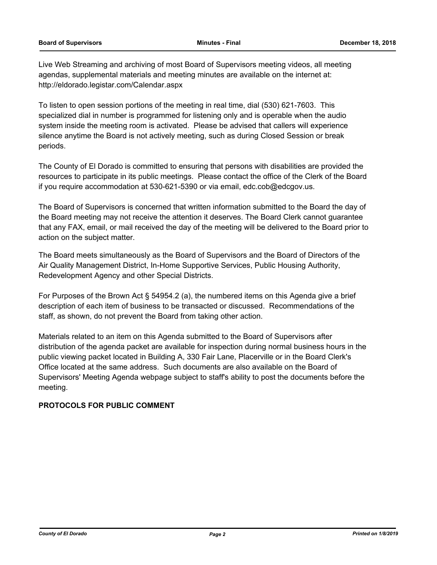Live Web Streaming and archiving of most Board of Supervisors meeting videos, all meeting agendas, supplemental materials and meeting minutes are available on the internet at: http://eldorado.legistar.com/Calendar.aspx

To listen to open session portions of the meeting in real time, dial (530) 621-7603. This specialized dial in number is programmed for listening only and is operable when the audio system inside the meeting room is activated. Please be advised that callers will experience silence anytime the Board is not actively meeting, such as during Closed Session or break periods.

The County of El Dorado is committed to ensuring that persons with disabilities are provided the resources to participate in its public meetings. Please contact the office of the Clerk of the Board if you require accommodation at 530-621-5390 or via email, edc.cob@edcgov.us.

The Board of Supervisors is concerned that written information submitted to the Board the day of the Board meeting may not receive the attention it deserves. The Board Clerk cannot guarantee that any FAX, email, or mail received the day of the meeting will be delivered to the Board prior to action on the subject matter.

The Board meets simultaneously as the Board of Supervisors and the Board of Directors of the Air Quality Management District, In-Home Supportive Services, Public Housing Authority, Redevelopment Agency and other Special Districts.

For Purposes of the Brown Act § 54954.2 (a), the numbered items on this Agenda give a brief description of each item of business to be transacted or discussed. Recommendations of the staff, as shown, do not prevent the Board from taking other action.

Materials related to an item on this Agenda submitted to the Board of Supervisors after distribution of the agenda packet are available for inspection during normal business hours in the public viewing packet located in Building A, 330 Fair Lane, Placerville or in the Board Clerk's Office located at the same address. Such documents are also available on the Board of Supervisors' Meeting Agenda webpage subject to staff's ability to post the documents before the meeting.

# **PROTOCOLS FOR PUBLIC COMMENT**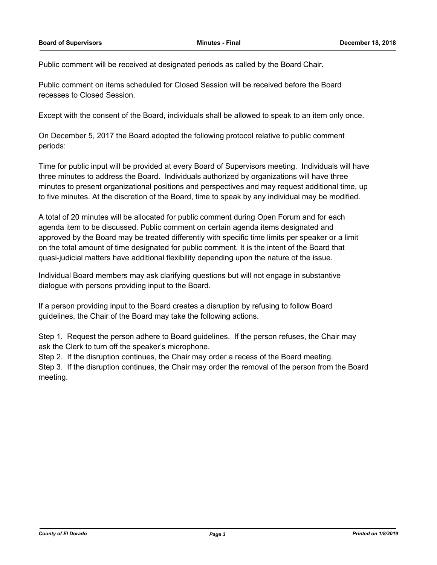Public comment will be received at designated periods as called by the Board Chair.

Public comment on items scheduled for Closed Session will be received before the Board recesses to Closed Session.

Except with the consent of the Board, individuals shall be allowed to speak to an item only once.

On December 5, 2017 the Board adopted the following protocol relative to public comment periods:

Time for public input will be provided at every Board of Supervisors meeting. Individuals will have three minutes to address the Board. Individuals authorized by organizations will have three minutes to present organizational positions and perspectives and may request additional time, up to five minutes. At the discretion of the Board, time to speak by any individual may be modified.

A total of 20 minutes will be allocated for public comment during Open Forum and for each agenda item to be discussed. Public comment on certain agenda items designated and approved by the Board may be treated differently with specific time limits per speaker or a limit on the total amount of time designated for public comment. It is the intent of the Board that quasi-judicial matters have additional flexibility depending upon the nature of the issue.

Individual Board members may ask clarifying questions but will not engage in substantive dialogue with persons providing input to the Board.

If a person providing input to the Board creates a disruption by refusing to follow Board guidelines, the Chair of the Board may take the following actions.

Step 1. Request the person adhere to Board guidelines. If the person refuses, the Chair may ask the Clerk to turn off the speaker's microphone.

Step 2. If the disruption continues, the Chair may order a recess of the Board meeting.

Step 3. If the disruption continues, the Chair may order the removal of the person from the Board meeting.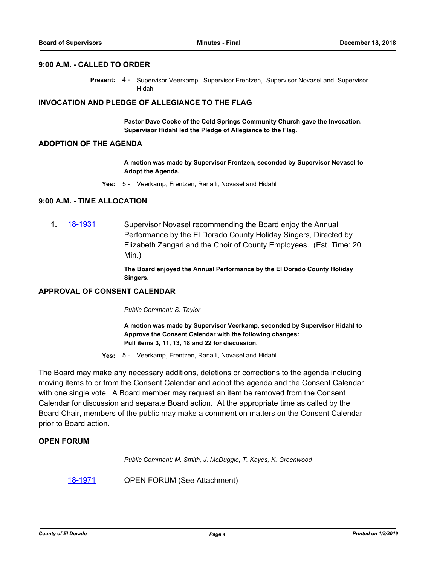# **9:00 A.M. - CALLED TO ORDER**

Present: 4 - Supervisor Veerkamp, Supervisor Frentzen, Supervisor Novasel and Supervisor Hidahl

#### **INVOCATION AND PLEDGE OF ALLEGIANCE TO THE FLAG**

**Pastor Dave Cooke of the Cold Springs Community Church gave the Invocation. Supervisor Hidahl led the Pledge of Allegiance to the Flag.**

#### **ADOPTION OF THE AGENDA**

**A motion was made by Supervisor Frentzen, seconded by Supervisor Novasel to Adopt the Agenda.**

**Yes:** 5 - Veerkamp, Frentzen, Ranalli, Novasel and Hidahl

### **9:00 A.M. - TIME ALLOCATION**

**1.** [18-1931](http://eldorado.legistar.com/gateway.aspx?m=l&id=/matter.aspx?key=25281) Supervisor Novasel recommending the Board enjoy the Annual Performance by the El Dorado County Holiday Singers, Directed by Elizabeth Zangari and the Choir of County Employees. (Est. Time: 20 Min.)

> **The Board enjoyed the Annual Performance by the El Dorado County Holiday Singers.**

# **APPROVAL OF CONSENT CALENDAR**

*Public Comment: S. Taylor*

**A motion was made by Supervisor Veerkamp, seconded by Supervisor Hidahl to Approve the Consent Calendar with the following changes: Pull items 3, 11, 13, 18 and 22 for discussion.**

**Yes:** 5 - Veerkamp, Frentzen, Ranalli, Novasel and Hidahl

The Board may make any necessary additions, deletions or corrections to the agenda including moving items to or from the Consent Calendar and adopt the agenda and the Consent Calendar with one single vote. A Board member may request an item be removed from the Consent Calendar for discussion and separate Board action. At the appropriate time as called by the Board Chair, members of the public may make a comment on matters on the Consent Calendar prior to Board action.

# **OPEN FORUM**

*Public Comment: M. Smith, J. McDuggle, T. Kayes, K. Greenwood*

[18-1971](http://eldorado.legistar.com/gateway.aspx?m=l&id=/matter.aspx?key=25321) **OPEN FORUM (See Attachment)**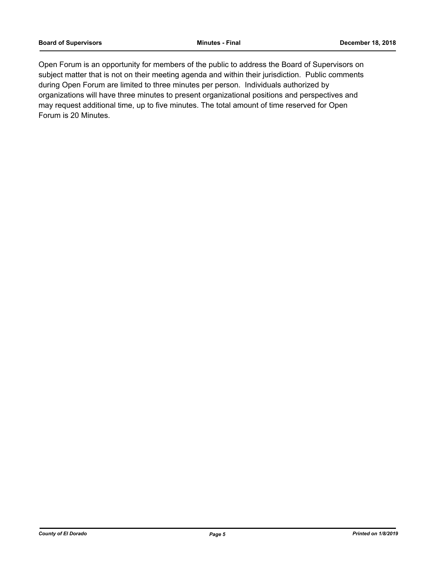Open Forum is an opportunity for members of the public to address the Board of Supervisors on subject matter that is not on their meeting agenda and within their jurisdiction. Public comments during Open Forum are limited to three minutes per person. Individuals authorized by organizations will have three minutes to present organizational positions and perspectives and may request additional time, up to five minutes. The total amount of time reserved for Open Forum is 20 Minutes.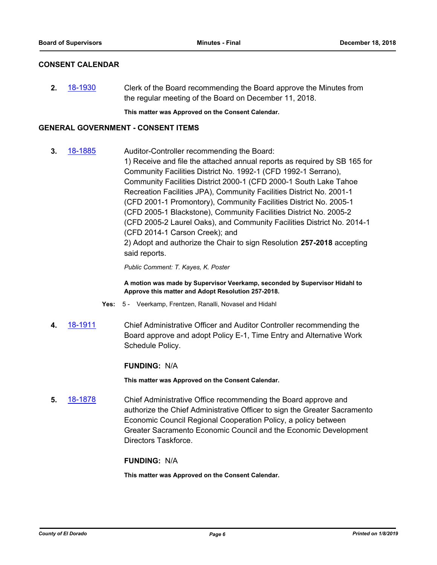# **CONSENT CALENDAR**

**2.** [18-1930](http://eldorado.legistar.com/gateway.aspx?m=l&id=/matter.aspx?key=25280) Clerk of the Board recommending the Board approve the Minutes from the regular meeting of the Board on December 11, 2018.

**This matter was Approved on the Consent Calendar.**

### **GENERAL GOVERNMENT - CONSENT ITEMS**

**3.** [18-1885](http://eldorado.legistar.com/gateway.aspx?m=l&id=/matter.aspx?key=25235) Auditor-Controller recommending the Board: 1) Receive and file the attached annual reports as required by SB 165 for Community Facilities District No. 1992-1 (CFD 1992-1 Serrano), Community Facilities District 2000-1 (CFD 2000-1 South Lake Tahoe Recreation Facilities JPA), Community Facilities District No. 2001-1 (CFD 2001-1 Promontory), Community Facilities District No. 2005-1 (CFD 2005-1 Blackstone), Community Facilities District No. 2005-2 (CFD 2005-2 Laurel Oaks), and Community Facilities District No. 2014-1 (CFD 2014-1 Carson Creek); and 2) Adopt and authorize the Chair to sign Resolution **257-2018** accepting said reports.

*Public Comment: T. Kayes, K. Poster*

**A motion was made by Supervisor Veerkamp, seconded by Supervisor Hidahl to Approve this matter and Adopt Resolution 257-2018.**

- **Yes:** 5 Veerkamp, Frentzen, Ranalli, Novasel and Hidahl
- **4.** [18-1911](http://eldorado.legistar.com/gateway.aspx?m=l&id=/matter.aspx?key=25261) Chief Administrative Officer and Auditor Controller recommending the Board approve and adopt Policy E-1, Time Entry and Alternative Work Schedule Policy.

#### **FUNDING:** N/A

**This matter was Approved on the Consent Calendar.**

**5.** [18-1878](http://eldorado.legistar.com/gateway.aspx?m=l&id=/matter.aspx?key=25228) Chief Administrative Office recommending the Board approve and authorize the Chief Administrative Officer to sign the Greater Sacramento Economic Council Regional Cooperation Policy, a policy between Greater Sacramento Economic Council and the Economic Development Directors Taskforce.

#### **FUNDING:** N/A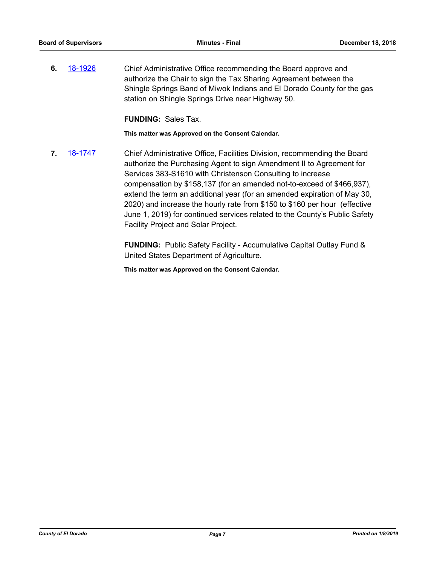**6.** [18-1926](http://eldorado.legistar.com/gateway.aspx?m=l&id=/matter.aspx?key=25276) Chief Administrative Office recommending the Board approve and authorize the Chair to sign the Tax Sharing Agreement between the Shingle Springs Band of Miwok Indians and El Dorado County for the gas station on Shingle Springs Drive near Highway 50.

**FUNDING:** Sales Tax.

**This matter was Approved on the Consent Calendar.**

**7.** [18-1747](http://eldorado.legistar.com/gateway.aspx?m=l&id=/matter.aspx?key=25098) Chief Administrative Office, Facilities Division, recommending the Board authorize the Purchasing Agent to sign Amendment II to Agreement for Services 383-S1610 with Christenson Consulting to increase compensation by \$158,137 (for an amended not-to-exceed of \$466,937), extend the term an additional year (for an amended expiration of May 30, 2020) and increase the hourly rate from \$150 to \$160 per hour (effective June 1, 2019) for continued services related to the County's Public Safety Facility Project and Solar Project.

> **FUNDING:** Public Safety Facility - Accumulative Capital Outlay Fund & United States Department of Agriculture.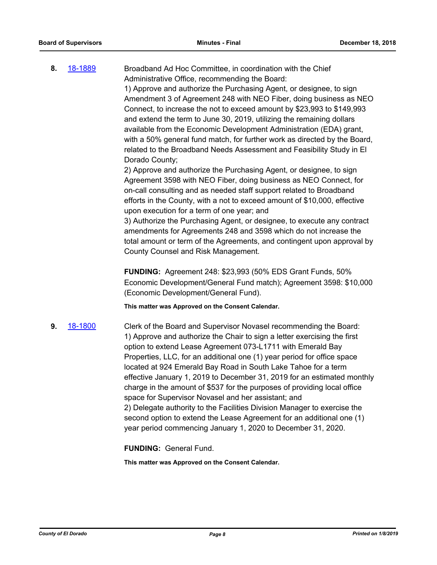**8.** [18-1889](http://eldorado.legistar.com/gateway.aspx?m=l&id=/matter.aspx?key=25239) Broadband Ad Hoc Committee, in coordination with the Chief Administrative Office, recommending the Board: 1) Approve and authorize the Purchasing Agent, or designee, to sign Amendment 3 of Agreement 248 with NEO Fiber, doing business as NEO Connect, to increase the not to exceed amount by \$23,993 to \$149,993 and extend the term to June 30, 2019, utilizing the remaining dollars available from the Economic Development Administration (EDA) grant, with a 50% general fund match, for further work as directed by the Board, related to the Broadband Needs Assessment and Feasibility Study in El Dorado County; 2) Approve and authorize the Purchasing Agent, or designee, to sign

Agreement 3598 with NEO Fiber, doing business as NEO Connect, for on-call consulting and as needed staff support related to Broadband efforts in the County, with a not to exceed amount of \$10,000, effective upon execution for a term of one year; and

3) Authorize the Purchasing Agent, or designee, to execute any contract amendments for Agreements 248 and 3598 which do not increase the total amount or term of the Agreements, and contingent upon approval by County Counsel and Risk Management.

**FUNDING:** Agreement 248: \$23,993 (50% EDS Grant Funds, 50% Economic Development/General Fund match); Agreement 3598: \$10,000 (Economic Development/General Fund).

**This matter was Approved on the Consent Calendar.**

**9.** [18-1800](http://eldorado.legistar.com/gateway.aspx?m=l&id=/matter.aspx?key=25151) Clerk of the Board and Supervisor Novasel recommending the Board: 1) Approve and authorize the Chair to sign a letter exercising the first option to extend Lease Agreement 073-L1711 with Emerald Bay Properties, LLC, for an additional one (1) year period for office space located at 924 Emerald Bay Road in South Lake Tahoe for a term effective January 1, 2019 to December 31, 2019 for an estimated monthly charge in the amount of \$537 for the purposes of providing local office space for Supervisor Novasel and her assistant; and 2) Delegate authority to the Facilities Division Manager to exercise the second option to extend the Lease Agreement for an additional one (1) year period commencing January 1, 2020 to December 31, 2020.

**FUNDING:** General Fund.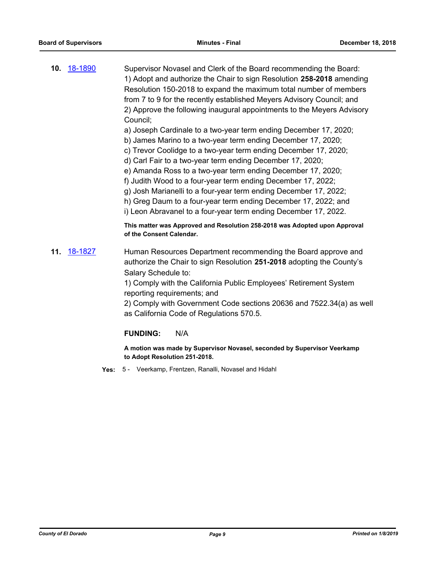**10.** [18-1890](http://eldorado.legistar.com/gateway.aspx?m=l&id=/matter.aspx?key=25240) Supervisor Novasel and Clerk of the Board recommending the Board: 1) Adopt and authorize the Chair to sign Resolution **258-2018** amending Resolution 150-2018 to expand the maximum total number of members from 7 to 9 for the recently established Meyers Advisory Council; and 2) Approve the following inaugural appointments to the Meyers Advisory Council;

a) Joseph Cardinale to a two-year term ending December 17, 2020;

- b) James Marino to a two-year term ending December 17, 2020;
- c) Trevor Coolidge to a two-year term ending December 17, 2020;
- d) Carl Fair to a two-year term ending December 17, 2020;
- e) Amanda Ross to a two-year term ending December 17, 2020;
- f) Judith Wood to a four-year term ending December 17, 2022;
- g) Josh Marianelli to a four-year term ending December 17, 2022;
- h) Greg Daum to a four-year term ending December 17, 2022; and

i) Leon Abravanel to a four-year term ending December 17, 2022.

**This matter was Approved and Resolution 258-2018 was Adopted upon Approval of the Consent Calendar.**

**11.** [18-1827](http://eldorado.legistar.com/gateway.aspx?m=l&id=/matter.aspx?key=25178) Human Resources Department recommending the Board approve and authorize the Chair to sign Resolution **251-2018** adopting the County's Salary Schedule to:

> 1) Comply with the California Public Employees' Retirement System reporting requirements; and

2) Comply with Government Code sections 20636 and 7522.34(a) as well as California Code of Regulations 570.5.

# **FUNDING:** N/A

**A motion was made by Supervisor Novasel, seconded by Supervisor Veerkamp to Adopt Resolution 251-2018.**

**Yes:** 5 - Veerkamp, Frentzen, Ranalli, Novasel and Hidahl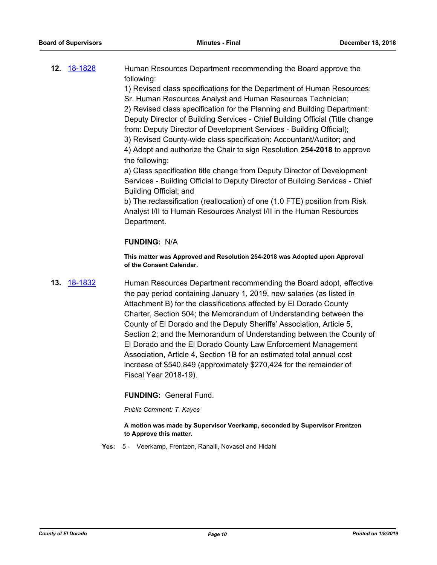**12.** [18-1828](http://eldorado.legistar.com/gateway.aspx?m=l&id=/matter.aspx?key=25179) Human Resources Department recommending the Board approve the following:

1) Revised class specifications for the Department of Human Resources:

Sr. Human Resources Analyst and Human Resources Technician;

2) Revised class specification for the Planning and Building Department: Deputy Director of Building Services - Chief Building Official (Title change from: Deputy Director of Development Services - Building Official);

3) Revised County-wide class specification: Accountant/Auditor; and

4) Adopt and authorize the Chair to sign Resolution **254-2018** to approve the following:

a) Class specification title change from Deputy Director of Development Services - Building Official to Deputy Director of Building Services - Chief Building Official; and

b) The reclassification (reallocation) of one (1.0 FTE) position from Risk Analyst I/II to Human Resources Analyst I/II in the Human Resources Department.

# **FUNDING:** N/A

**This matter was Approved and Resolution 254-2018 was Adopted upon Approval of the Consent Calendar.**

**13.** [18-1832](http://eldorado.legistar.com/gateway.aspx?m=l&id=/matter.aspx?key=25183) Human Resources Department recommending the Board adopt, effective the pay period containing January 1, 2019, new salaries (as listed in Attachment B) for the classifications affected by El Dorado County Charter, Section 504; the Memorandum of Understanding between the County of El Dorado and the Deputy Sheriffs' Association, Article 5, Section 2; and the Memorandum of Understanding between the County of El Dorado and the El Dorado County Law Enforcement Management Association, Article 4, Section 1B for an estimated total annual cost increase of \$540,849 (approximately \$270,424 for the remainder of Fiscal Year 2018-19).

# **FUNDING:** General Fund.

*Public Comment: T. Kayes*

**A motion was made by Supervisor Veerkamp, seconded by Supervisor Frentzen to Approve this matter.**

**Yes:** 5 - Veerkamp, Frentzen, Ranalli, Novasel and Hidahl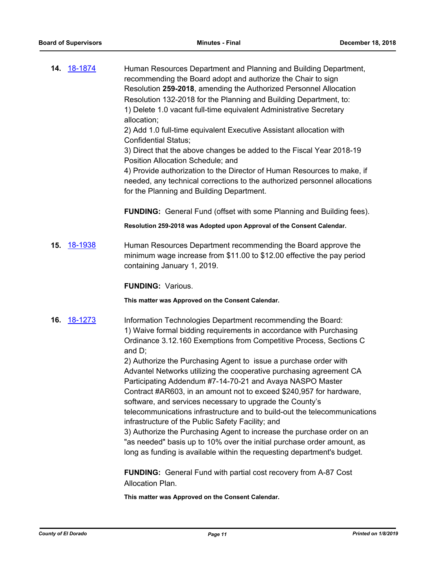**14.** [18-1874](http://eldorado.legistar.com/gateway.aspx?m=l&id=/matter.aspx?key=25224) Human Resources Department and Planning and Building Department, recommending the Board adopt and authorize the Chair to sign Resolution **259-2018**, amending the Authorized Personnel Allocation Resolution 132-2018 for the Planning and Building Department, to: 1) Delete 1.0 vacant full-time equivalent Administrative Secretary allocation;

2) Add 1.0 full-time equivalent Executive Assistant allocation with Confidential Status;

3) Direct that the above changes be added to the Fiscal Year 2018-19 Position Allocation Schedule; and

4) Provide authorization to the Director of Human Resources to make, if needed, any technical corrections to the authorized personnel allocations for the Planning and Building Department.

**FUNDING:** General Fund (offset with some Planning and Building fees).

**Resolution 259-2018 was Adopted upon Approval of the Consent Calendar.**

**15.** [18-1938](http://eldorado.legistar.com/gateway.aspx?m=l&id=/matter.aspx?key=25288) Human Resources Department recommending the Board approve the minimum wage increase from \$11.00 to \$12.00 effective the pay period containing January 1, 2019.

**FUNDING:** Various.

**This matter was Approved on the Consent Calendar.**

**16.** [18-1273](http://eldorado.legistar.com/gateway.aspx?m=l&id=/matter.aspx?key=24624) Information Technologies Department recommending the Board: 1) Waive formal bidding requirements in accordance with Purchasing Ordinance 3.12.160 Exemptions from Competitive Process, Sections C and D;

> 2) Authorize the Purchasing Agent to issue a purchase order with Advantel Networks utilizing the cooperative purchasing agreement CA Participating Addendum #7-14-70-21 and Avaya NASPO Master Contract #AR603, in an amount not to exceed \$240,957 for hardware, software, and services necessary to upgrade the County's telecommunications infrastructure and to build-out the telecommunications infrastructure of the Public Safety Facility; and 3) Authorize the Purchasing Agent to increase the purchase order on an

"as needed" basis up to 10% over the initial purchase order amount, as long as funding is available within the requesting department's budget.

**FUNDING:** General Fund with partial cost recovery from A-87 Cost Allocation Plan.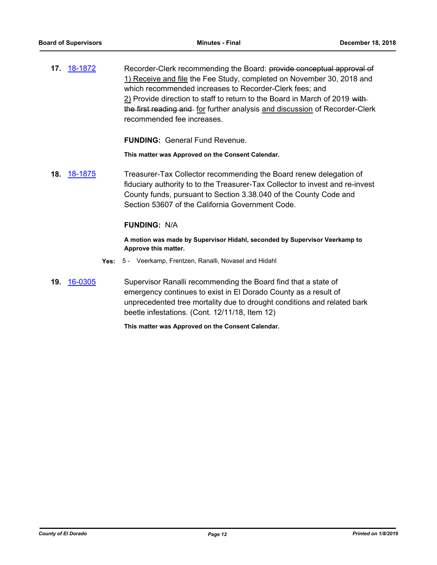**17.** [18-1872](http://eldorado.legistar.com/gateway.aspx?m=l&id=/matter.aspx?key=25222) Recorder-Clerk recommending the Board: provide conceptual approval of 1) Receive and file the Fee Study, completed on November 30, 2018 and which recommended increases to Recorder-Clerk fees; and 2) Provide direction to staff to return to the Board in March of 2019 withthe first reading and for further analysis and discussion of Recorder-Clerk recommended fee increases.

**FUNDING:** General Fund Revenue.

**This matter was Approved on the Consent Calendar.**

**18.** [18-1875](http://eldorado.legistar.com/gateway.aspx?m=l&id=/matter.aspx?key=25225) Treasurer-Tax Collector recommending the Board renew delegation of fiduciary authority to to the Treasurer-Tax Collector to invest and re-invest County funds, pursuant to Section 3.38.040 of the County Code and Section 53607 of the California Government Code.

### **FUNDING:** N/A

**A motion was made by Supervisor Hidahl, seconded by Supervisor Veerkamp to Approve this matter.**

- **Yes:** 5 Veerkamp, Frentzen, Ranalli, Novasel and Hidahl
- **19.** [16-0305](http://eldorado.legistar.com/gateway.aspx?m=l&id=/matter.aspx?key=20961) Supervisor Ranalli recommending the Board find that a state of emergency continues to exist in El Dorado County as a result of unprecedented tree mortality due to drought conditions and related bark beetle infestations. (Cont. 12/11/18, Item 12)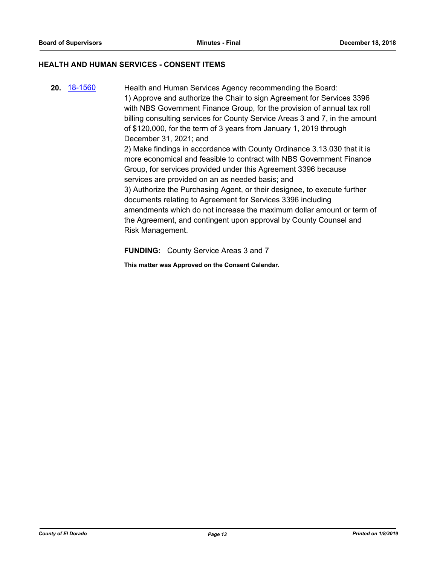# **HEALTH AND HUMAN SERVICES - CONSENT ITEMS**

**20.** [18-1560](http://eldorado.legistar.com/gateway.aspx?m=l&id=/matter.aspx?key=24911) Health and Human Services Agency recommending the Board: 1) Approve and authorize the Chair to sign Agreement for Services 3396 with NBS Government Finance Group, for the provision of annual tax roll billing consulting services for County Service Areas 3 and 7, in the amount of \$120,000, for the term of 3 years from January 1, 2019 through December 31, 2021; and 2) Make findings in accordance with County Ordinance 3.13.030 that it is more economical and feasible to contract with NBS Government Finance Group, for services provided under this Agreement 3396 because services are provided on an as needed basis; and 3) Authorize the Purchasing Agent, or their designee, to execute further documents relating to Agreement for Services 3396 including amendments which do not increase the maximum dollar amount or term of the Agreement, and contingent upon approval by County Counsel and Risk Management.

**FUNDING:** County Service Areas 3 and 7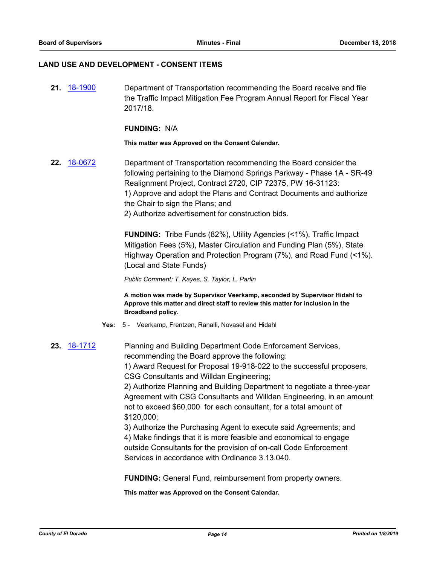#### **LAND USE AND DEVELOPMENT - CONSENT ITEMS**

**21.** [18-1900](http://eldorado.legistar.com/gateway.aspx?m=l&id=/matter.aspx?key=25250) Department of Transportation recommending the Board receive and file the Traffic Impact Mitigation Fee Program Annual Report for Fiscal Year 2017/18.

#### **FUNDING:** N/A

#### **This matter was Approved on the Consent Calendar.**

**22.** [18-0672](http://eldorado.legistar.com/gateway.aspx?m=l&id=/matter.aspx?key=24017) Department of Transportation recommending the Board consider the following pertaining to the Diamond Springs Parkway - Phase 1A - SR-49 Realignment Project, Contract 2720, CIP 72375, PW 16-31123: 1) Approve and adopt the Plans and Contract Documents and authorize the Chair to sign the Plans; and 2) Authorize advertisement for construction bids.

> **FUNDING:** Tribe Funds (82%), Utility Agencies (<1%), Traffic Impact Mitigation Fees (5%), Master Circulation and Funding Plan (5%), State Highway Operation and Protection Program (7%), and Road Fund (<1%). (Local and State Funds)

*Public Comment: T. Kayes, S. Taylor, L. Parlin*

**A motion was made by Supervisor Veerkamp, seconded by Supervisor Hidahl to Approve this matter and direct staff to review this matter for inclusion in the Broadband policy.**

- **Yes:** 5 Veerkamp, Frentzen, Ranalli, Novasel and Hidahl
- **23.** [18-1712](http://eldorado.legistar.com/gateway.aspx?m=l&id=/matter.aspx?key=25149) Planning and Building Department Code Enforcement Services, recommending the Board approve the following:

1) Award Request for Proposal 19-918-022 to the successful proposers, CSG Consultants and Willdan Engineering;

2) Authorize Planning and Building Department to negotiate a three-year Agreement with CSG Consultants and Willdan Engineering, in an amount not to exceed \$60,000 for each consultant, for a total amount of \$120,000;

3) Authorize the Purchasing Agent to execute said Agreements; and 4) Make findings that it is more feasible and economical to engage outside Consultants for the provision of on-call Code Enforcement Services in accordance with Ordinance 3.13.040.

**FUNDING:** General Fund, reimbursement from property owners.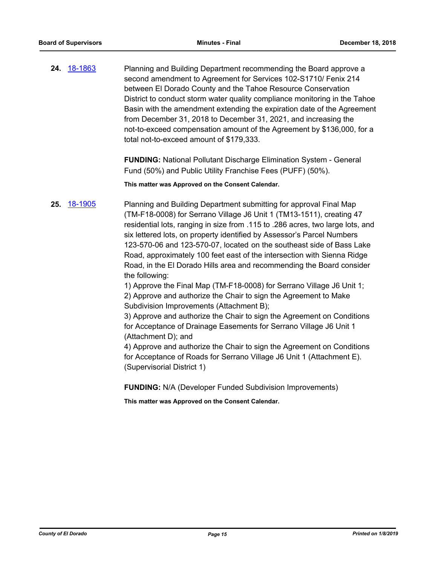**24.** [18-1863](http://eldorado.legistar.com/gateway.aspx?m=l&id=/matter.aspx?key=25213) Planning and Building Department recommending the Board approve a second amendment to Agreement for Services 102-S1710/ Fenix 214 between El Dorado County and the Tahoe Resource Conservation District to conduct storm water quality compliance monitoring in the Tahoe Basin with the amendment extending the expiration date of the Agreement from December 31, 2018 to December 31, 2021, and increasing the not-to-exceed compensation amount of the Agreement by \$136,000, for a total not-to-exceed amount of \$179,333.

> **FUNDING:** National Pollutant Discharge Elimination System - General Fund (50%) and Public Utility Franchise Fees (PUFF) (50%).

**This matter was Approved on the Consent Calendar.**

**25.** [18-1905](http://eldorado.legistar.com/gateway.aspx?m=l&id=/matter.aspx?key=25255) Planning and Building Department submitting for approval Final Map (TM-F18-0008) for Serrano Village J6 Unit 1 (TM13-1511), creating 47 residential lots, ranging in size from .115 to .286 acres, two large lots, and six lettered lots, on property identified by Assessor's Parcel Numbers 123-570-06 and 123-570-07, located on the southeast side of Bass Lake Road, approximately 100 feet east of the intersection with Sienna Ridge Road, in the El Dorado Hills area and recommending the Board consider the following:

> 1) Approve the Final Map (TM-F18-0008) for Serrano Village J6 Unit 1; 2) Approve and authorize the Chair to sign the Agreement to Make Subdivision Improvements (Attachment B);

3) Approve and authorize the Chair to sign the Agreement on Conditions for Acceptance of Drainage Easements for Serrano Village J6 Unit 1 (Attachment D); and

4) Approve and authorize the Chair to sign the Agreement on Conditions for Acceptance of Roads for Serrano Village J6 Unit 1 (Attachment E). (Supervisorial District 1)

**FUNDING:** N/A (Developer Funded Subdivision Improvements)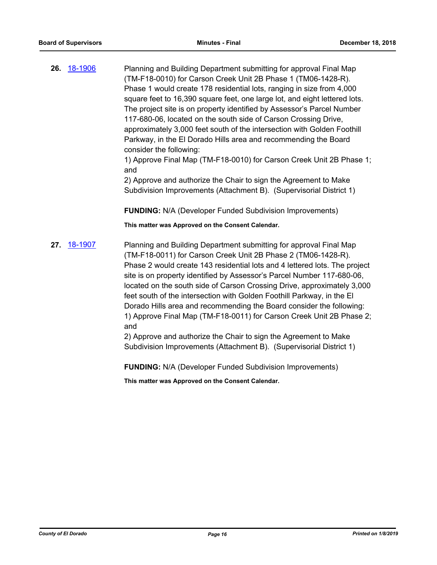**26.** [18-1906](http://eldorado.legistar.com/gateway.aspx?m=l&id=/matter.aspx?key=25256) Planning and Building Department submitting for approval Final Map (TM-F18-0010) for Carson Creek Unit 2B Phase 1 (TM06-1428-R). Phase 1 would create 178 residential lots, ranging in size from 4,000 square feet to 16,390 square feet, one large lot, and eight lettered lots. The project site is on property identified by Assessor's Parcel Number 117-680-06, located on the south side of Carson Crossing Drive, approximately 3,000 feet south of the intersection with Golden Foothill Parkway, in the El Dorado Hills area and recommending the Board consider the following:

1) Approve Final Map (TM-F18-0010) for Carson Creek Unit 2B Phase 1; and

2) Approve and authorize the Chair to sign the Agreement to Make Subdivision Improvements (Attachment B). (Supervisorial District 1)

**FUNDING:** N/A (Developer Funded Subdivision Improvements)

**This matter was Approved on the Consent Calendar.**

**27.** [18-1907](http://eldorado.legistar.com/gateway.aspx?m=l&id=/matter.aspx?key=25257) Planning and Building Department submitting for approval Final Map (TM-F18-0011) for Carson Creek Unit 2B Phase 2 (TM06-1428-R). Phase 2 would create 143 residential lots and 4 lettered lots. The project site is on property identified by Assessor's Parcel Number 117-680-06, located on the south side of Carson Crossing Drive, approximately 3,000 feet south of the intersection with Golden Foothill Parkway, in the El Dorado Hills area and recommending the Board consider the following: 1) Approve Final Map (TM-F18-0011) for Carson Creek Unit 2B Phase 2; and

2) Approve and authorize the Chair to sign the Agreement to Make Subdivision Improvements (Attachment B). (Supervisorial District 1)

**FUNDING:** N/A (Developer Funded Subdivision Improvements)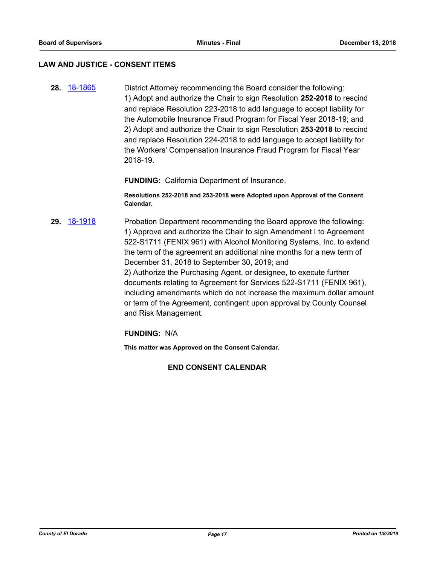#### **LAW AND JUSTICE - CONSENT ITEMS**

**28.** [18-1865](http://eldorado.legistar.com/gateway.aspx?m=l&id=/matter.aspx?key=25215) District Attorney recommending the Board consider the following: 1) Adopt and authorize the Chair to sign Resolution **252-2018** to rescind and replace Resolution 223-2018 to add language to accept liability for the Automobile Insurance Fraud Program for Fiscal Year 2018-19; and 2) Adopt and authorize the Chair to sign Resolution **253-2018** to rescind and replace Resolution 224-2018 to add language to accept liability for the Workers' Compensation Insurance Fraud Program for Fiscal Year 2018-19.

**FUNDING:** California Department of Insurance.

**Resolutions 252-2018 and 253-2018 were Adopted upon Approval of the Consent Calendar.**

**29.** [18-1918](http://eldorado.legistar.com/gateway.aspx?m=l&id=/matter.aspx?key=25268) Probation Department recommending the Board approve the following: 1) Approve and authorize the Chair to sign Amendment I to Agreement 522-S1711 (FENIX 961) with Alcohol Monitoring Systems, Inc. to extend the term of the agreement an additional nine months for a new term of December 31, 2018 to September 30, 2019; and 2) Authorize the Purchasing Agent, or designee, to execute further documents relating to Agreement for Services 522-S1711 (FENIX 961), including amendments which do not increase the maximum dollar amount or term of the Agreement, contingent upon approval by County Counsel and Risk Management.

**FUNDING:** N/A

**This matter was Approved on the Consent Calendar.**

#### **END CONSENT CALENDAR**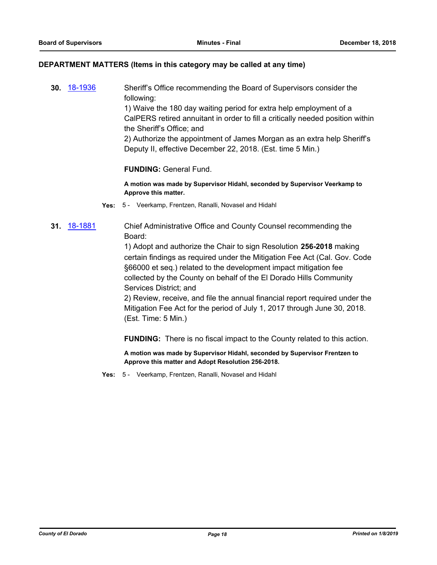#### **DEPARTMENT MATTERS (Items in this category may be called at any time)**

**30.** [18-1936](http://eldorado.legistar.com/gateway.aspx?m=l&id=/matter.aspx?key=25286) Sheriff's Office recommending the Board of Supervisors consider the following:

1) Waive the 180 day waiting period for extra help employment of a CalPERS retired annuitant in order to fill a critically needed position within the Sheriff's Office; and

2) Authorize the appointment of James Morgan as an extra help Sheriff's Deputy II, effective December 22, 2018. (Est. time 5 Min.)

# **FUNDING:** General Fund.

**A motion was made by Supervisor Hidahl, seconded by Supervisor Veerkamp to Approve this matter.**

- **Yes:** 5 Veerkamp, Frentzen, Ranalli, Novasel and Hidahl
- **31.** [18-1881](http://eldorado.legistar.com/gateway.aspx?m=l&id=/matter.aspx?key=25231) Chief Administrative Office and County Counsel recommending the Board:

1) Adopt and authorize the Chair to sign Resolution **256-2018** making certain findings as required under the Mitigation Fee Act (Cal. Gov. Code §66000 et seq.) related to the development impact mitigation fee collected by the County on behalf of the El Dorado Hills Community Services District; and

2) Review, receive, and file the annual financial report required under the Mitigation Fee Act for the period of July 1, 2017 through June 30, 2018. (Est. Time: 5 Min.)

**FUNDING:** There is no fiscal impact to the County related to this action.

**A motion was made by Supervisor Hidahl, seconded by Supervisor Frentzen to Approve this matter and Adopt Resolution 256-2018.**

**Yes:** 5 - Veerkamp, Frentzen, Ranalli, Novasel and Hidahl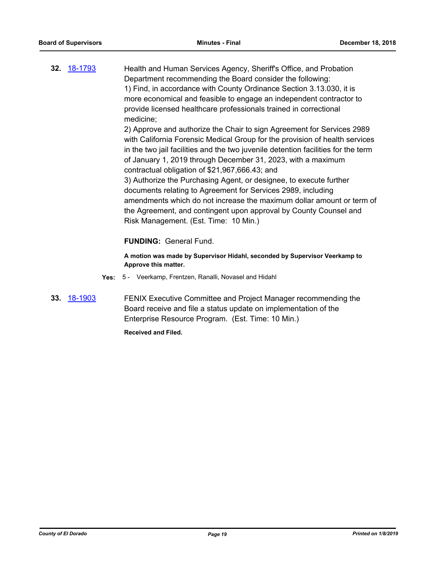**32.** [18-1793](http://eldorado.legistar.com/gateway.aspx?m=l&id=/matter.aspx?key=25144) Health and Human Services Agency, Sheriff's Office, and Probation Department recommending the Board consider the following: 1) Find, in accordance with County Ordinance Section 3.13.030, it is more economical and feasible to engage an independent contractor to provide licensed healthcare professionals trained in correctional medicine; 2) Approve and authorize the Chair to sign Agreement for Services 2989

with California Forensic Medical Group for the provision of health services in the two jail facilities and the two juvenile detention facilities for the term of January 1, 2019 through December 31, 2023, with a maximum contractual obligation of \$21,967,666.43; and

3) Authorize the Purchasing Agent, or designee, to execute further documents relating to Agreement for Services 2989, including amendments which do not increase the maximum dollar amount or term of the Agreement, and contingent upon approval by County Counsel and Risk Management. (Est. Time: 10 Min.)

# **FUNDING:** General Fund.

**A motion was made by Supervisor Hidahl, seconded by Supervisor Veerkamp to Approve this matter.**

- **Yes:** 5 Veerkamp, Frentzen, Ranalli, Novasel and Hidahl
- **33.** [18-1903](http://eldorado.legistar.com/gateway.aspx?m=l&id=/matter.aspx?key=25253) FENIX Executive Committee and Project Manager recommending the Board receive and file a status update on implementation of the Enterprise Resource Program. (Est. Time: 10 Min.)

**Received and Filed.**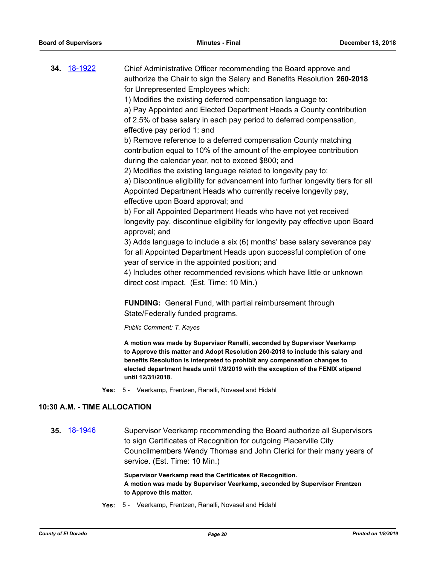|  | 34. 18-1922 | Chief Administrative Officer recommending the Board approve and                                                                                                                            |
|--|-------------|--------------------------------------------------------------------------------------------------------------------------------------------------------------------------------------------|
|  |             | authorize the Chair to sign the Salary and Benefits Resolution 260-2018                                                                                                                    |
|  |             | for Unrepresented Employees which:                                                                                                                                                         |
|  |             | 1) Modifies the existing deferred compensation language to:                                                                                                                                |
|  |             | a) Pay Appointed and Elected Department Heads a County contribution                                                                                                                        |
|  |             | of 2.5% of base salary in each pay period to deferred compensation,                                                                                                                        |
|  |             | effective pay period 1; and                                                                                                                                                                |
|  |             | b) Remove reference to a deferred compensation County matching                                                                                                                             |
|  |             | contribution equal to 10% of the amount of the employee contribution                                                                                                                       |
|  |             | during the calendar year, not to exceed \$800; and                                                                                                                                         |
|  |             | 2) Modifies the existing language related to longevity pay to:                                                                                                                             |
|  |             | a) Discontinue eligibility for advancement into further longevity tiers for all                                                                                                            |
|  |             | Appointed Department Heads who currently receive longevity pay,                                                                                                                            |
|  |             | effective upon Board approval; and                                                                                                                                                         |
|  |             | b) For all Appointed Department Heads who have not yet received                                                                                                                            |
|  |             | longevity pay, discontinue eligibility for longevity pay effective upon Board<br>approval; and                                                                                             |
|  |             | 3) Adds language to include a six (6) months' base salary severance pay                                                                                                                    |
|  |             | for all Appointed Department Heads upon successful completion of one<br>year of service in the appointed position; and                                                                     |
|  |             | 4) Includes other recommended revisions which have little or unknown                                                                                                                       |
|  |             | direct cost impact. (Est. Time: 10 Min.)                                                                                                                                                   |
|  |             | <b>FUNDING:</b> General Fund, with partial reimbursement through                                                                                                                           |
|  |             | State/Federally funded programs.                                                                                                                                                           |
|  |             | Public Comment: T. Kayes                                                                                                                                                                   |
|  |             | A motion was made by Supervisor Ranalli, seconded by Supervisor Veerkamp<br>$\sim$ 44 $\sim$ $\sim$ $\sim$ 4. A short Property to 41 $\sim$ 0.000, 0.04.0.4 $\sim$ 1. The short that short |

**to Approve this matter and Adopt Resolution 260-2018 to include this salary and benefits Resolution is interpreted to prohibit any compensation changes to elected department heads until 1/8/2019 with the exception of the FENIX stipend until 12/31/2018.**

**Yes:** 5 - Veerkamp, Frentzen, Ranalli, Novasel and Hidahl

# **10:30 A.M. - TIME ALLOCATION**

**35.** [18-1946](http://eldorado.legistar.com/gateway.aspx?m=l&id=/matter.aspx?key=25296) Supervisor Veerkamp recommending the Board authorize all Supervisors to sign Certificates of Recognition for outgoing Placerville City Councilmembers Wendy Thomas and John Clerici for their many years of service. (Est. Time: 10 Min.)

> **Supervisor Veerkamp read the Certificates of Recognition. A motion was made by Supervisor Veerkamp, seconded by Supervisor Frentzen to Approve this matter.**

**Yes:** 5 - Veerkamp, Frentzen, Ranalli, Novasel and Hidahl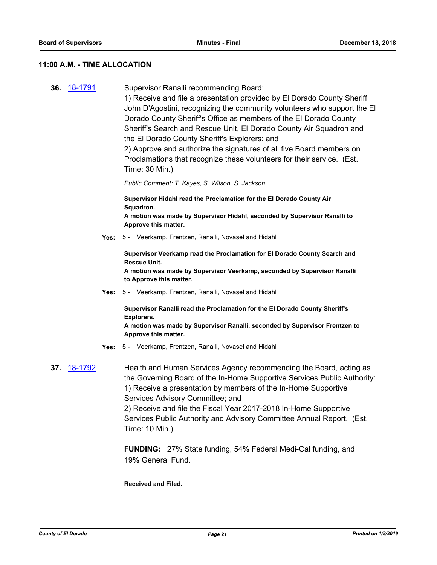#### **11:00 A.M. - TIME ALLOCATION**

**36.** [18-1791](http://eldorado.legistar.com/gateway.aspx?m=l&id=/matter.aspx?key=25142) Supervisor Ranalli recommending Board: 1) Receive and file a presentation provided by El Dorado County Sheriff John D'Agostini, recognizing the community volunteers who support the El Dorado County Sheriff's Office as members of the El Dorado County Sheriff's Search and Rescue Unit, El Dorado County Air Squadron and the El Dorado County Sheriff's Explorers; and 2) Approve and authorize the signatures of all five Board members on Proclamations that recognize these volunteers for their service. (Est. Time: 30 Min.) *Public Comment: T. Kayes, S. Wilson, S. Jackson* **Supervisor Hidahl read the Proclamation for the El Dorado County Air Squadron. A motion was made by Supervisor Hidahl, seconded by Supervisor Ranalli to Approve this matter. Yes:** 5 - Veerkamp, Frentzen, Ranalli, Novasel and Hidahl **Supervisor Veerkamp read the Proclamation for El Dorado County Search and Rescue Unit. A motion was made by Supervisor Veerkamp, seconded by Supervisor Ranalli to Approve this matter. Yes:** 5 - Veerkamp, Frentzen, Ranalli, Novasel and Hidahl **Supervisor Ranalli read the Proclamation for the El Dorado County Sheriff's Explorers. A motion was made by Supervisor Ranalli, seconded by Supervisor Frentzen to Approve this matter. Yes:** 5 - Veerkamp, Frentzen, Ranalli, Novasel and Hidahl **37.** [18-1792](http://eldorado.legistar.com/gateway.aspx?m=l&id=/matter.aspx?key=25143) Health and Human Services Agency recommending the Board, acting as the Governing Board of the In-Home Supportive Services Public Authority: 1) Receive a presentation by members of the In-Home Supportive Services Advisory Committee; and 2) Receive and file the Fiscal Year 2017-2018 In-Home Supportive Services Public Authority and Advisory Committee Annual Report. (Est. Time: 10 Min.) **FUNDING:** 27% State funding, 54% Federal Medi-Cal funding, and

#### **Received and Filed.**

19% General Fund.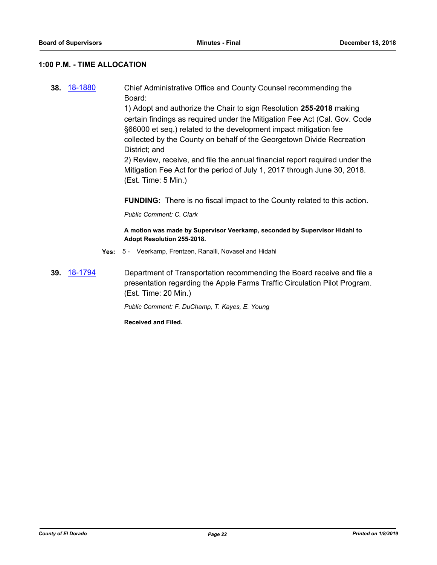# **1:00 P.M. - TIME ALLOCATION**

**38.** [18-1880](http://eldorado.legistar.com/gateway.aspx?m=l&id=/matter.aspx?key=25230) Chief Administrative Office and County Counsel recommending the Board:

> 1) Adopt and authorize the Chair to sign Resolution **255-2018** making certain findings as required under the Mitigation Fee Act (Cal. Gov. Code §66000 et seq.) related to the development impact mitigation fee collected by the County on behalf of the Georgetown Divide Recreation District; and

> 2) Review, receive, and file the annual financial report required under the Mitigation Fee Act for the period of July 1, 2017 through June 30, 2018. (Est. Time: 5 Min.)

**FUNDING:** There is no fiscal impact to the County related to this action.

*Public Comment: C. Clark*

**A motion was made by Supervisor Veerkamp, seconded by Supervisor Hidahl to Adopt Resolution 255-2018.**

- **Yes:** 5 Veerkamp, Frentzen, Ranalli, Novasel and Hidahl
- **39.** [18-1794](http://eldorado.legistar.com/gateway.aspx?m=l&id=/matter.aspx?key=25145) Department of Transportation recommending the Board receive and file a presentation regarding the Apple Farms Traffic Circulation Pilot Program. (Est. Time: 20 Min.)

*Public Comment: F. DuChamp, T. Kayes, E. Young*

**Received and Filed.**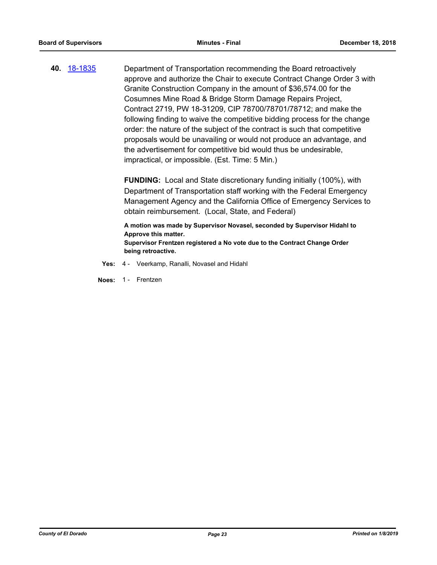**40.** [18-1835](http://eldorado.legistar.com/gateway.aspx?m=l&id=/matter.aspx?key=25185) Department of Transportation recommending the Board retroactively approve and authorize the Chair to execute Contract Change Order 3 with Granite Construction Company in the amount of \$36,574.00 for the Cosumnes Mine Road & Bridge Storm Damage Repairs Project, Contract 2719, PW 18-31209, CIP 78700/78701/78712; and make the following finding to waive the competitive bidding process for the change order: the nature of the subject of the contract is such that competitive proposals would be unavailing or would not produce an advantage, and the advertisement for competitive bid would thus be undesirable, impractical, or impossible. (Est. Time: 5 Min.)

> **FUNDING:** Local and State discretionary funding initially (100%), with Department of Transportation staff working with the Federal Emergency Management Agency and the California Office of Emergency Services to obtain reimbursement. (Local, State, and Federal)

**A motion was made by Supervisor Novasel, seconded by Supervisor Hidahl to Approve this matter. Supervisor Frentzen registered a No vote due to the Contract Change Order being retroactive.**

- **Yes:** 4 Veerkamp, Ranalli, Novasel and Hidahl
- **Noes:** 1 Frentzen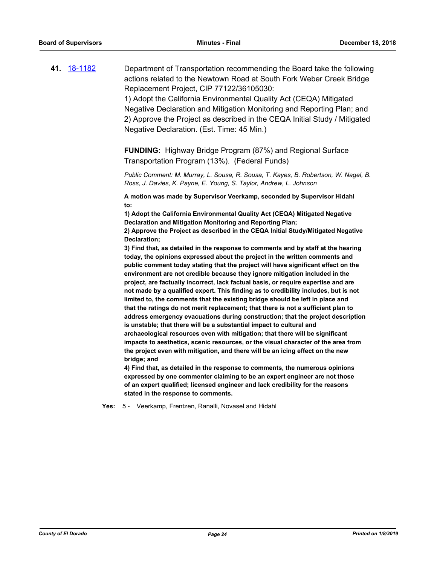**41.** [18-1182](http://eldorado.legistar.com/gateway.aspx?m=l&id=/matter.aspx?key=24532) Department of Transportation recommending the Board take the following actions related to the Newtown Road at South Fork Weber Creek Bridge Replacement Project, CIP 77122/36105030: 1) Adopt the California Environmental Quality Act (CEQA) Mitigated

Negative Declaration and Mitigation Monitoring and Reporting Plan; and 2) Approve the Project as described in the CEQA Initial Study / Mitigated Negative Declaration. (Est. Time: 45 Min.)

**FUNDING:** Highway Bridge Program (87%) and Regional Surface Transportation Program (13%). (Federal Funds)

*Public Comment: M. Murray, L. Sousa, R. Sousa, T. Kayes, B. Robertson, W. Nagel, B. Ross, J. Davies, K. Payne, E. Young, S. Taylor, Andrew, L. Johnson*

**A motion was made by Supervisor Veerkamp, seconded by Supervisor Hidahl to:**

**1) Adopt the California Environmental Quality Act (CEQA) Mitigated Negative Declaration and Mitigation Monitoring and Reporting Plan;**

**2) Approve the Project as described in the CEQA Initial Study/Mitigated Negative Declaration;**

**3) Find that, as detailed in the response to comments and by staff at the hearing today, the opinions expressed about the project in the written comments and public comment today stating that the project will have significant effect on the environment are not credible because they ignore mitigation included in the project, are factually incorrect, lack factual basis, or require expertise and are not made by a qualified expert. This finding as to credibility includes, but is not limited to, the comments that the existing bridge should be left in place and that the ratings do not merit replacement; that there is not a sufficient plan to address emergency evacuations during construction; that the project description is unstable; that there will be a substantial impact to cultural and archaeological resources even with mitigation; that there will be significant impacts to aesthetics, scenic resources, or the visual character of the area from the project even with mitigation, and there will be an icing effect on the new bridge; and**

**4) Find that, as detailed in the response to comments, the numerous opinions expressed by one commenter claiming to be an expert engineer are not those of an expert qualified; licensed engineer and lack credibility for the reasons stated in the response to comments.**

**Yes:** 5 - Veerkamp, Frentzen, Ranalli, Novasel and Hidahl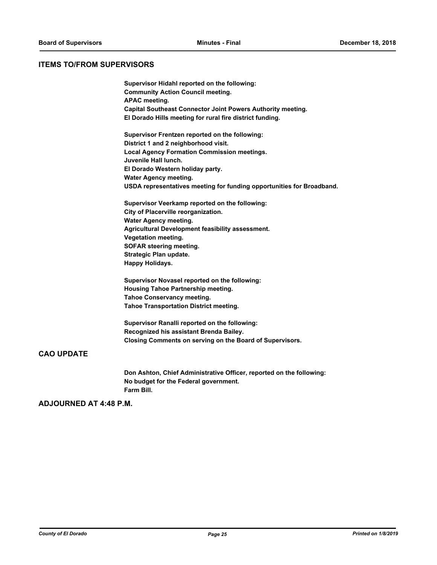#### **ITEMS TO/FROM SUPERVISORS**

**Supervisor Hidahl reported on the following: Community Action Council meeting. APAC meeting. Capital Southeast Connector Joint Powers Authority meeting. El Dorado Hills meeting for rural fire district funding. Supervisor Frentzen reported on the following: District 1 and 2 neighborhood visit. Local Agency Formation Commission meetings. Juvenile Hall lunch. El Dorado Western holiday party. Water Agency meeting. USDA representatives meeting for funding opportunities for Broadband. Supervisor Veerkamp reported on the following: City of Placerville reorganization. Water Agency meeting. Agricultural Development feasibility assessment. Vegetation meeting. SOFAR steering meeting. Strategic Plan update. Happy Holidays. Supervisor Novasel reported on the following: Housing Tahoe Partnership meeting. Tahoe Conservancy meeting. Tahoe Transportation District meeting.**

**Supervisor Ranalli reported on the following: Recognized his assistant Brenda Bailey. Closing Comments on serving on the Board of Supervisors.**

# **CAO UPDATE**

**Don Ashton, Chief Administrative Officer, reported on the following: No budget for the Federal government. Farm Bill.**

# **ADJOURNED AT 4:48 P.M.**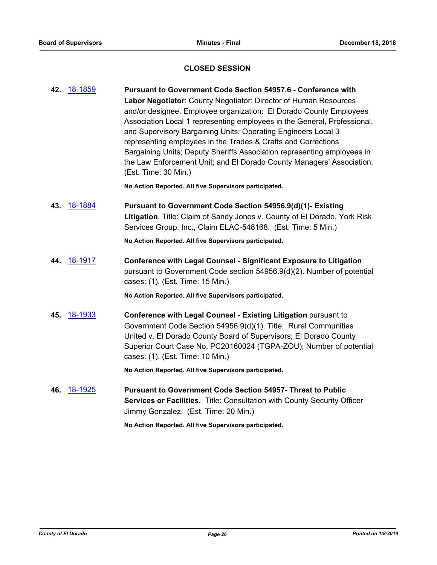# **CLOSED SESSION**

| 18-1884<br>43.<br>Pursuant to Government Code Section 54956.9(d)(1)- Existing<br>Services Group, Inc., Claim ELAC-548168. (Est. Time: 5 Min.)<br>No Action Reported. All five Supervisors participated.<br>44. 18-1917<br><b>Conference with Legal Counsel - Significant Exposure to Litigation</b><br>cases: (1). (Est. Time: 15 Min.)<br>No Action Reported. All five Supervisors participated.<br>45. 18-1933<br>Conference with Legal Counsel - Existing Litigation pursuant to<br>Government Code Section 54956.9(d)(1). Title: Rural Communities<br>United v. El Dorado County Board of Supervisors; El Dorado County<br>cases: (1). (Est. Time: 10 Min.)<br>No Action Reported. All five Supervisors participated.<br>46. 18-1925<br>Pursuant to Government Code Section 54957- Threat to Public<br>Services or Facilities. Title: Consultation with County Security Officer | 42. 18-1859 | Pursuant to Government Code Section 54957.6 - Conference with<br>Labor Negotiator: County Negotiator: Director of Human Resources<br>and/or designee. Employee organization: El Dorado County Employees<br>Association Local 1 representing employees in the General, Professional,<br>and Supervisory Bargaining Units; Operating Engineers Local 3<br>representing employees in the Trades & Crafts and Corrections<br>Bargaining Units; Deputy Sheriffs Association representing employees in<br>the Law Enforcement Unit; and El Dorado County Managers' Association.<br>(Est. Time: 30 Min.)<br>No Action Reported. All five Supervisors participated. |
|-------------------------------------------------------------------------------------------------------------------------------------------------------------------------------------------------------------------------------------------------------------------------------------------------------------------------------------------------------------------------------------------------------------------------------------------------------------------------------------------------------------------------------------------------------------------------------------------------------------------------------------------------------------------------------------------------------------------------------------------------------------------------------------------------------------------------------------------------------------------------------------|-------------|-------------------------------------------------------------------------------------------------------------------------------------------------------------------------------------------------------------------------------------------------------------------------------------------------------------------------------------------------------------------------------------------------------------------------------------------------------------------------------------------------------------------------------------------------------------------------------------------------------------------------------------------------------------|
|                                                                                                                                                                                                                                                                                                                                                                                                                                                                                                                                                                                                                                                                                                                                                                                                                                                                                     |             | Litigation. Title: Claim of Sandy Jones v. County of El Dorado, York Risk                                                                                                                                                                                                                                                                                                                                                                                                                                                                                                                                                                                   |
|                                                                                                                                                                                                                                                                                                                                                                                                                                                                                                                                                                                                                                                                                                                                                                                                                                                                                     |             |                                                                                                                                                                                                                                                                                                                                                                                                                                                                                                                                                                                                                                                             |
|                                                                                                                                                                                                                                                                                                                                                                                                                                                                                                                                                                                                                                                                                                                                                                                                                                                                                     |             | pursuant to Government Code section 54956.9(d)(2). Number of potential                                                                                                                                                                                                                                                                                                                                                                                                                                                                                                                                                                                      |
|                                                                                                                                                                                                                                                                                                                                                                                                                                                                                                                                                                                                                                                                                                                                                                                                                                                                                     |             |                                                                                                                                                                                                                                                                                                                                                                                                                                                                                                                                                                                                                                                             |
|                                                                                                                                                                                                                                                                                                                                                                                                                                                                                                                                                                                                                                                                                                                                                                                                                                                                                     |             | Superior Court Case No. PC20160024 (TGPA-ZOU); Number of potential                                                                                                                                                                                                                                                                                                                                                                                                                                                                                                                                                                                          |
|                                                                                                                                                                                                                                                                                                                                                                                                                                                                                                                                                                                                                                                                                                                                                                                                                                                                                     |             |                                                                                                                                                                                                                                                                                                                                                                                                                                                                                                                                                                                                                                                             |
| No Action Reported. All five Supervisors participated.                                                                                                                                                                                                                                                                                                                                                                                                                                                                                                                                                                                                                                                                                                                                                                                                                              |             | Jimmy Gonzalez. (Est. Time: 20 Min.)                                                                                                                                                                                                                                                                                                                                                                                                                                                                                                                                                                                                                        |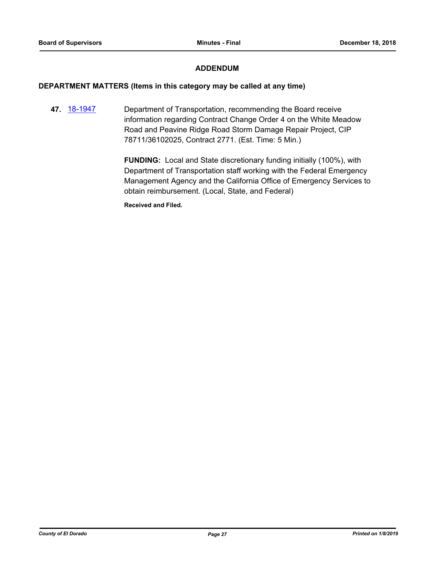# **ADDENDUM**

#### **DEPARTMENT MATTERS (Items in this category may be called at any time)**

**47.** [18-1947](http://eldorado.legistar.com/gateway.aspx?m=l&id=/matter.aspx?key=25297) Department of Transportation, recommending the Board receive information regarding Contract Change Order 4 on the White Meadow Road and Peavine Ridge Road Storm Damage Repair Project, CIP 78711/36102025, Contract 2771. (Est. Time: 5 Min.)

> **FUNDING:** Local and State discretionary funding initially (100%), with Department of Transportation staff working with the Federal Emergency Management Agency and the California Office of Emergency Services to obtain reimbursement. (Local, State, and Federal)

**Received and Filed.**